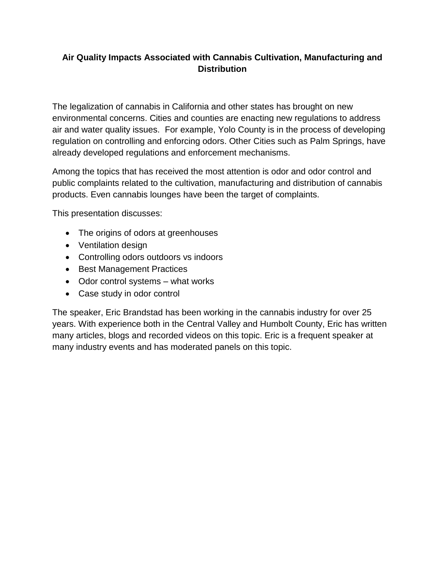# **Air Quality Impacts Associated with Cannabis Cultivation, Manufacturing and Distribution**

The legalization of cannabis in California and other states has brought on new environmental concerns. Cities and counties are enacting new regulations to address air and water quality issues. For example, Yolo County is in the process of developing regulation on controlling and enforcing odors. Other Cities such as Palm Springs, have already developed regulations and enforcement mechanisms.

Among the topics that has received the most attention is odor and odor control and public complaints related to the cultivation, manufacturing and distribution of cannabis products. Even cannabis lounges have been the target of complaints.

This presentation discusses:

- The origins of odors at greenhouses
- Ventilation design
- Controlling odors outdoors vs indoors
- Best Management Practices
- Odor control systems what works
- Case study in odor control

The speaker, Eric Brandstad has been working in the cannabis industry for over 25 years. With experience both in the Central Valley and Humbolt County, Eric has written many articles, blogs and recorded videos on this topic. Eric is a frequent speaker at many industry events and has moderated panels on this topic.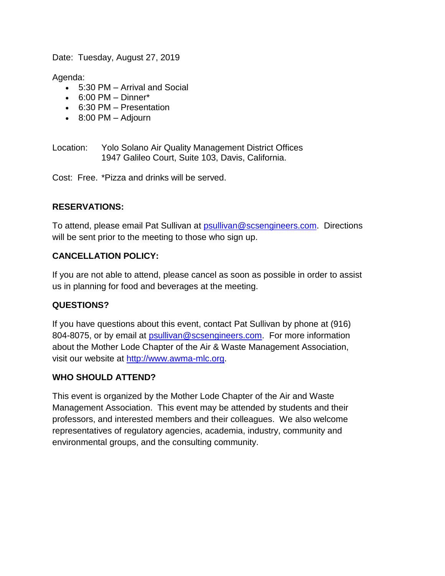Date: Tuesday, August 27, 2019

Agenda:

- 5:30 PM Arrival and Social
- $6:00 \text{ PM} \text{Dinner}^*$
- 6:30 PM Presentation
- $\cdot$  8:00 PM Adjourn

Location: Yolo Solano Air Quality Management District Offices 1947 Galileo Court, Suite 103, Davis, California.

Cost: Free. \*Pizza and drinks will be served.

## **RESERVATIONS:**

To attend, please email Pat Sullivan at [psullivan@scsengineers.com.](mailto:psullivan@scsengineers.com) Directions will be sent prior to the meeting to those who sign up.

## **CANCELLATION POLICY:**

If you are not able to attend, please cancel as soon as possible in order to assist us in planning for food and beverages at the meeting.

## **QUESTIONS?**

If you have questions about this event, contact Pat Sullivan by phone at (916) 804-8075, or by email at [psullivan@scsengineers.com.](mailto:psullivan@scsengineers.com) For more information about the Mother Lode Chapter of the Air & Waste Management Association, visit our website at [http://www.awma-mlc.org.](http://www.awma-mlc.org/)

### **WHO SHOULD ATTEND?**

This event is organized by the Mother Lode Chapter of the Air and Waste Management Association. This event may be attended by students and their professors, and interested members and their colleagues. We also welcome representatives of regulatory agencies, academia, industry, community and environmental groups, and the consulting community.